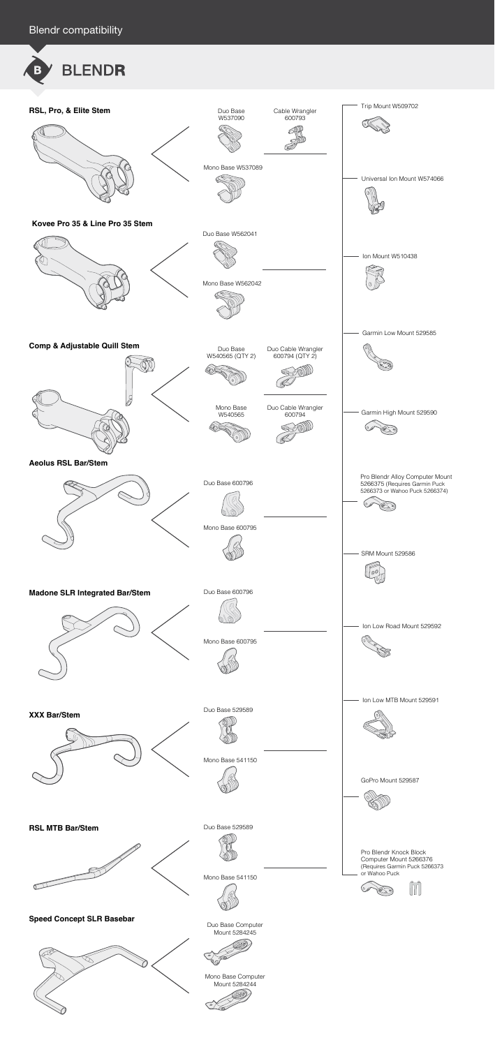